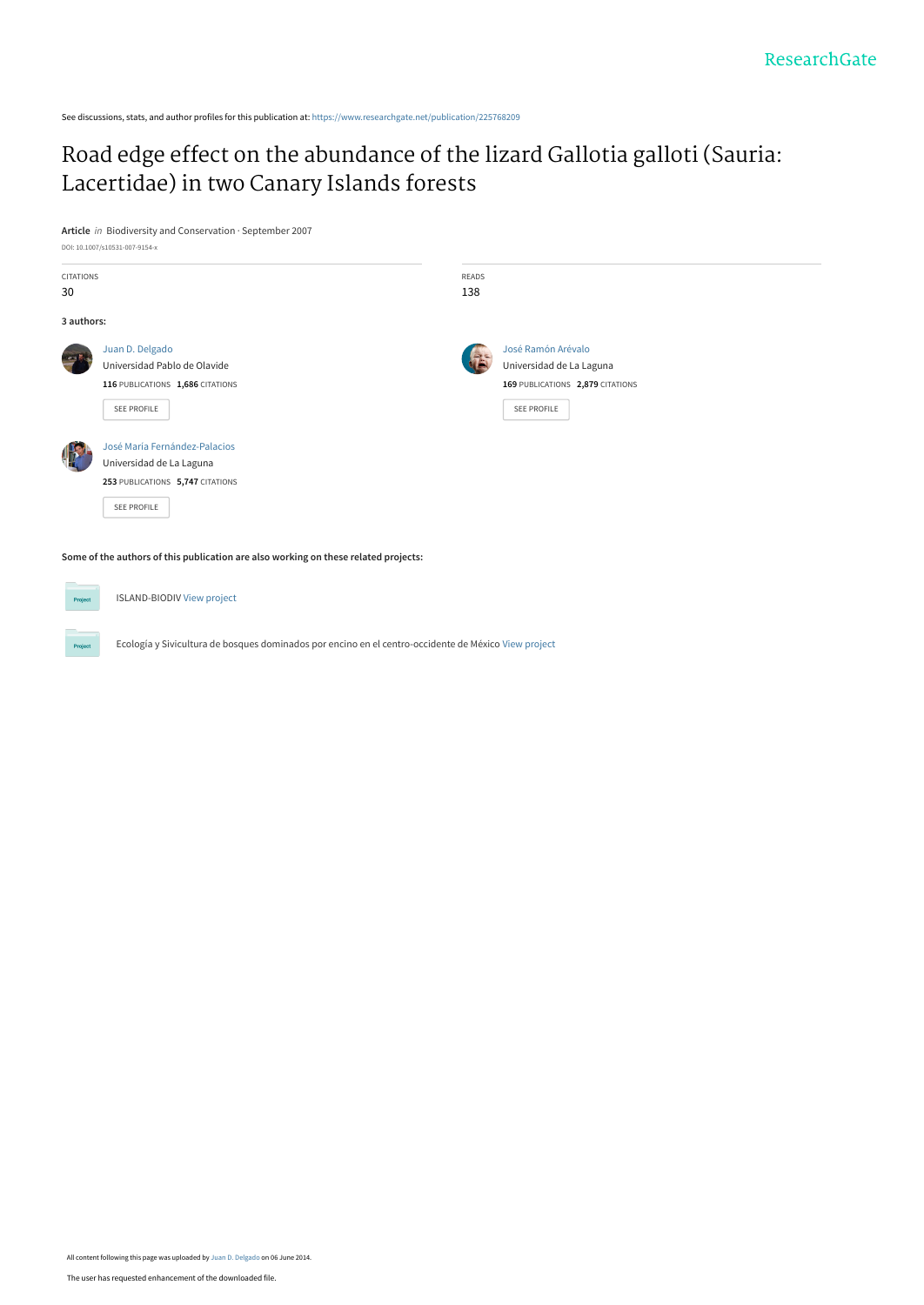See discussions, stats, and author profiles for this publication at: [https://www.researchgate.net/publication/225768209](https://www.researchgate.net/publication/225768209_Road_edge_effect_on_the_abundance_of_the_lizard_Gallotia_galloti_Sauria_Lacertidae_in_two_Canary_Islands_forests?enrichId=rgreq-b97c937beacae9036db5db47dc5530b8-XXX&enrichSource=Y292ZXJQYWdlOzIyNTc2ODIwOTtBUzoxMDQ4OTM4MjIwMTM0NDRAMTQwMjAyMDA0NDM3Mw%3D%3D&el=1_x_2&_esc=publicationCoverPdf)

# [Road edge effect on the abundance of the lizard Gallotia galloti \(Sauria:](https://www.researchgate.net/publication/225768209_Road_edge_effect_on_the_abundance_of_the_lizard_Gallotia_galloti_Sauria_Lacertidae_in_two_Canary_Islands_forests?enrichId=rgreq-b97c937beacae9036db5db47dc5530b8-XXX&enrichSource=Y292ZXJQYWdlOzIyNTc2ODIwOTtBUzoxMDQ4OTM4MjIwMTM0NDRAMTQwMjAyMDA0NDM3Mw%3D%3D&el=1_x_3&_esc=publicationCoverPdf) Lacertidae) in two Canary Islands forests

**Article** in Biodiversity and Conservation · September 2007 DOI: 10.1007/s10531-007-9154-x

| <b>CITATIONS</b>                                                                    |                                  | READS |                                  |  |  |  |
|-------------------------------------------------------------------------------------|----------------------------------|-------|----------------------------------|--|--|--|
| 30                                                                                  |                                  | 138   |                                  |  |  |  |
| 3 authors:                                                                          |                                  |       |                                  |  |  |  |
| $\rightarrow$                                                                       | Juan D. Delgado                  |       | José Ramón Arévalo               |  |  |  |
|                                                                                     | Universidad Pablo de Olavide     |       | Universidad de La Laguna         |  |  |  |
|                                                                                     | 116 PUBLICATIONS 1,686 CITATIONS |       | 169 PUBLICATIONS 2,879 CITATIONS |  |  |  |
|                                                                                     | <b>SEE PROFILE</b>               |       | SEE PROFILE                      |  |  |  |
|                                                                                     |                                  |       |                                  |  |  |  |
|                                                                                     | José María Fernández-Palacios    |       |                                  |  |  |  |
|                                                                                     | Universidad de La Laguna         |       |                                  |  |  |  |
|                                                                                     | 253 PUBLICATIONS 5,747 CITATIONS |       |                                  |  |  |  |
|                                                                                     | <b>SEE PROFILE</b>               |       |                                  |  |  |  |
|                                                                                     |                                  |       |                                  |  |  |  |
|                                                                                     |                                  |       |                                  |  |  |  |
| Some of the authors of this publication are also working on these related projects: |                                  |       |                                  |  |  |  |
|                                                                                     |                                  |       |                                  |  |  |  |

ISLAND-BIODIV [View project](https://www.researchgate.net/project/ISLAND-BIODIV?enrichId=rgreq-b97c937beacae9036db5db47dc5530b8-XXX&enrichSource=Y292ZXJQYWdlOzIyNTc2ODIwOTtBUzoxMDQ4OTM4MjIwMTM0NDRAMTQwMjAyMDA0NDM3Mw%3D%3D&el=1_x_9&_esc=publicationCoverPdf)

Ecología y Sivicultura de bosques dominados por encino en el centro-occidente de México [View project](https://www.researchgate.net/project/Ecologia-y-Sivicultura-de-bosques-dominados-por-encino-en-el-centro-occidente-de-Mexico?enrichId=rgreq-b97c937beacae9036db5db47dc5530b8-XXX&enrichSource=Y292ZXJQYWdlOzIyNTc2ODIwOTtBUzoxMDQ4OTM4MjIwMTM0NDRAMTQwMjAyMDA0NDM3Mw%3D%3D&el=1_x_9&_esc=publicationCoverPdf)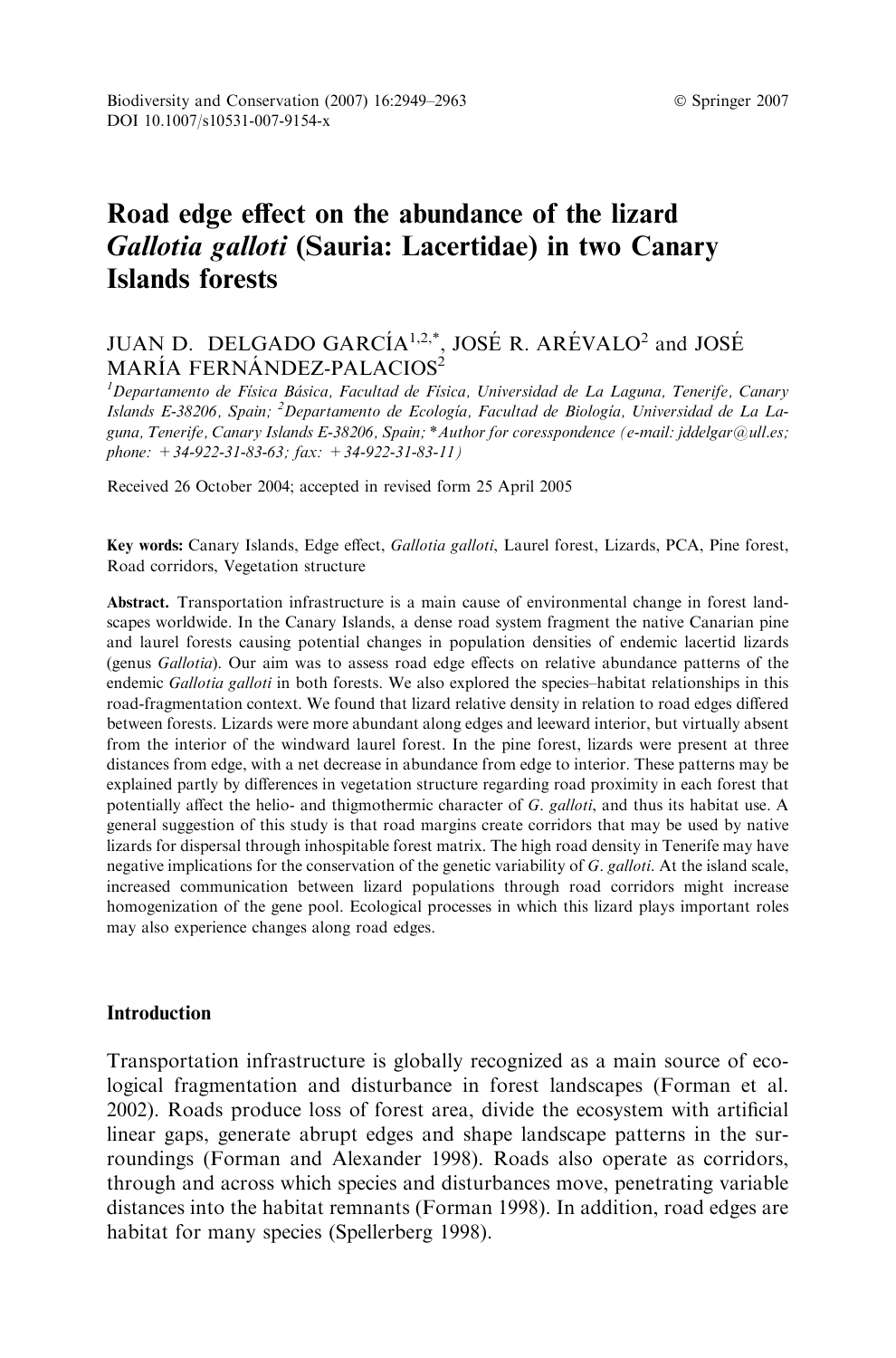## Road edge effect on the abundance of the lizard Gallotia galloti (Sauria: Lacertidae) in two Canary Islands forests

## JUAN D. DELGADO GARCÍA $^{1,2,*}$ , JOSÉ R. ARÉVALO $^2$  and JOSÉ MARÍA FERNÁNDEZ-PALACIOS<sup>2</sup>

<sup>1</sup>Departamento de Física Básica, Facultad de Física, Universidad de La Laguna, Tenerife, Canary Islands E-38206, Spain; <sup>2</sup>Departamento de Ecología, Facultad de Biología, Universidad de La Laguna, Tenerife, Canary Islands E-38206, Spain; \* Author for coresspondence (e-mail: jddelgar@ull.es; phone:  $+34-922-31-83-63$ ;  $fax: +34-922-31-83-11$ )

Received 26 October 2004; accepted in revised form 25 April 2005

Key words: Canary Islands, Edge effect, Gallotia galloti, Laurel forest, Lizards, PCA, Pine forest, Road corridors, Vegetation structure

Abstract. Transportation infrastructure is a main cause of environmental change in forest landscapes worldwide. In the Canary Islands, a dense road system fragment the native Canarian pine and laurel forests causing potential changes in population densities of endemic lacertid lizards (genus Gallotia). Our aim was to assess road edge effects on relative abundance patterns of the endemic Gallotia galloti in both forests. We also explored the species–habitat relationships in this road-fragmentation context. We found that lizard relative density in relation to road edges differed between forests. Lizards were more abundant along edges and leeward interior, but virtually absent from the interior of the windward laurel forest. In the pine forest, lizards were present at three distances from edge, with a net decrease in abundance from edge to interior. These patterns may be explained partly by differences in vegetation structure regarding road proximity in each forest that potentially affect the helio- and thigmothermic character of G. galloti, and thus its habitat use. A general suggestion of this study is that road margins create corridors that may be used by native lizards for dispersal through inhospitable forest matrix. The high road density in Tenerife may have negative implications for the conservation of the genetic variability of G. galloti. At the island scale, increased communication between lizard populations through road corridors might increase homogenization of the gene pool. Ecological processes in which this lizard plays important roles may also experience changes along road edges.

#### Introduction

Transportation infrastructure is globally recognized as a main source of ecological fragmentation and disturbance in forest landscapes (Forman et al. 2002). Roads produce loss of forest area, divide the ecosystem with artificial linear gaps, generate abrupt edges and shape landscape patterns in the surroundings (Forman and Alexander 1998). Roads also operate as corridors, through and across which species and disturbances move, penetrating variable distances into the habitat remnants (Forman 1998). In addition, road edges are habitat for many species (Spellerberg 1998).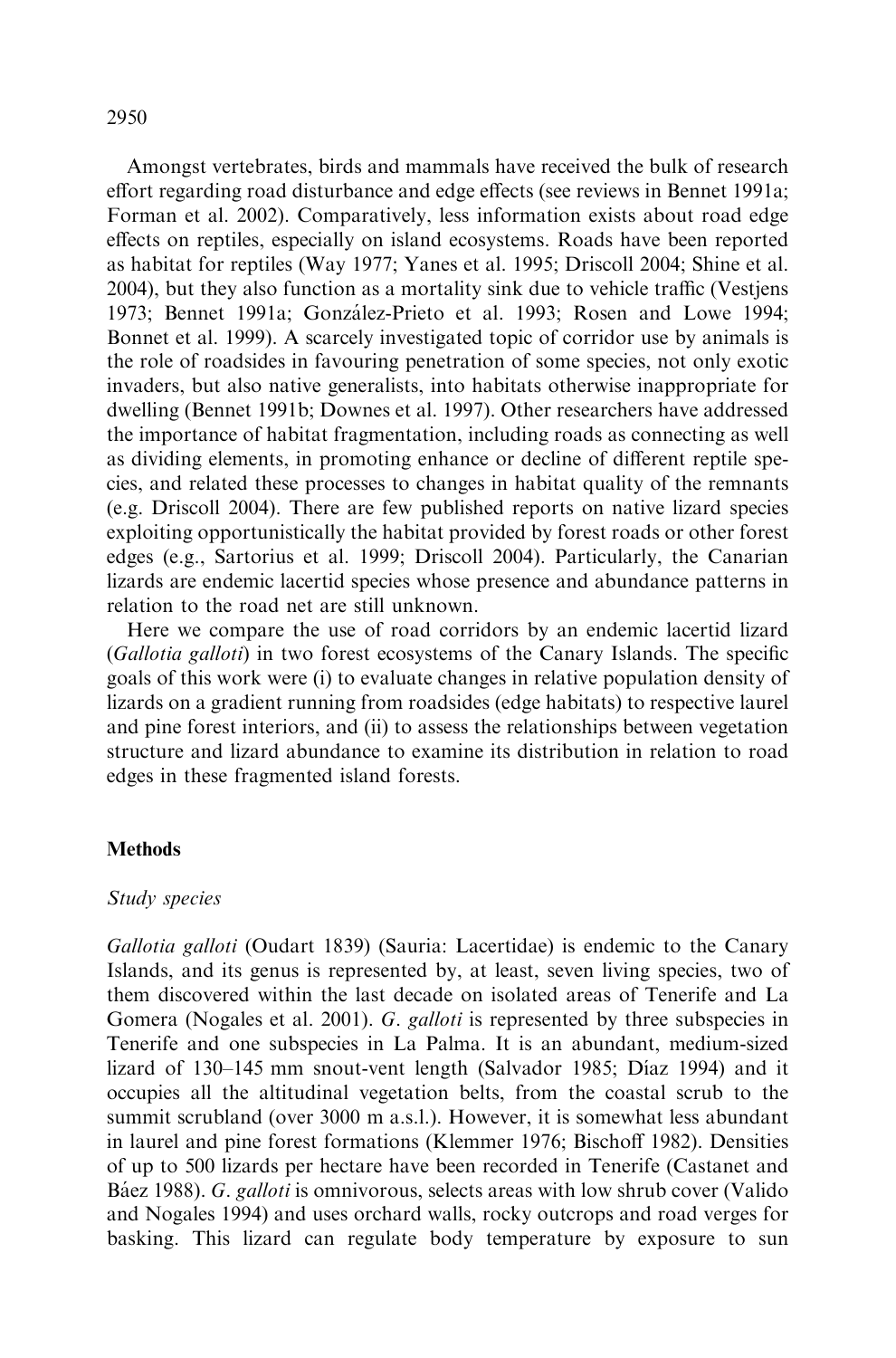Amongst vertebrates, birds and mammals have received the bulk of research effort regarding road disturbance and edge effects (see reviews in Bennet 1991a; Forman et al. 2002). Comparatively, less information exists about road edge effects on reptiles, especially on island ecosystems. Roads have been reported as habitat for reptiles (Way 1977; Yanes et al. 1995; Driscoll 2004; Shine et al. 2004), but they also function as a mortality sink due to vehicle traffic (Vestjens 1973; Bennet 1991a; González-Prieto et al. 1993; Rosen and Lowe 1994; Bonnet et al. 1999). A scarcely investigated topic of corridor use by animals is the role of roadsides in favouring penetration of some species, not only exotic invaders, but also native generalists, into habitats otherwise inappropriate for dwelling (Bennet 1991b; Downes et al. 1997). Other researchers have addressed the importance of habitat fragmentation, including roads as connecting as well as dividing elements, in promoting enhance or decline of different reptile species, and related these processes to changes in habitat quality of the remnants (e.g. Driscoll 2004). There are few published reports on native lizard species exploiting opportunistically the habitat provided by forest roads or other forest edges (e.g., Sartorius et al. 1999; Driscoll 2004). Particularly, the Canarian lizards are endemic lacertid species whose presence and abundance patterns in relation to the road net are still unknown.

Here we compare the use of road corridors by an endemic lacertid lizard (Gallotia galloti) in two forest ecosystems of the Canary Islands. The specific goals of this work were (i) to evaluate changes in relative population density of lizards on a gradient running from roadsides (edge habitats) to respective laurel and pine forest interiors, and (ii) to assess the relationships between vegetation structure and lizard abundance to examine its distribution in relation to road edges in these fragmented island forests.

## **Methods**

#### Study species

Gallotia galloti (Oudart 1839) (Sauria: Lacertidae) is endemic to the Canary Islands, and its genus is represented by, at least, seven living species, two of them discovered within the last decade on isolated areas of Tenerife and La Gomera (Nogales et al. 2001). G. galloti is represented by three subspecies in Tenerife and one subspecies in La Palma. It is an abundant, medium-sized lizard of 130–145 mm snout-vent length (Salvador 1985; Díaz 1994) and it occupies all the altitudinal vegetation belts, from the coastal scrub to the summit scrubland (over 3000 m a.s.l.). However, it is somewhat less abundant in laurel and pine forest formations (Klemmer 1976; Bischoff 1982). Densities of up to 500 lizards per hectare have been recorded in Tenerife (Castanet and Báez 1988). G. galloti is omnivorous, selects areas with low shrub cover (Valido and Nogales 1994) and uses orchard walls, rocky outcrops and road verges for basking. This lizard can regulate body temperature by exposure to sun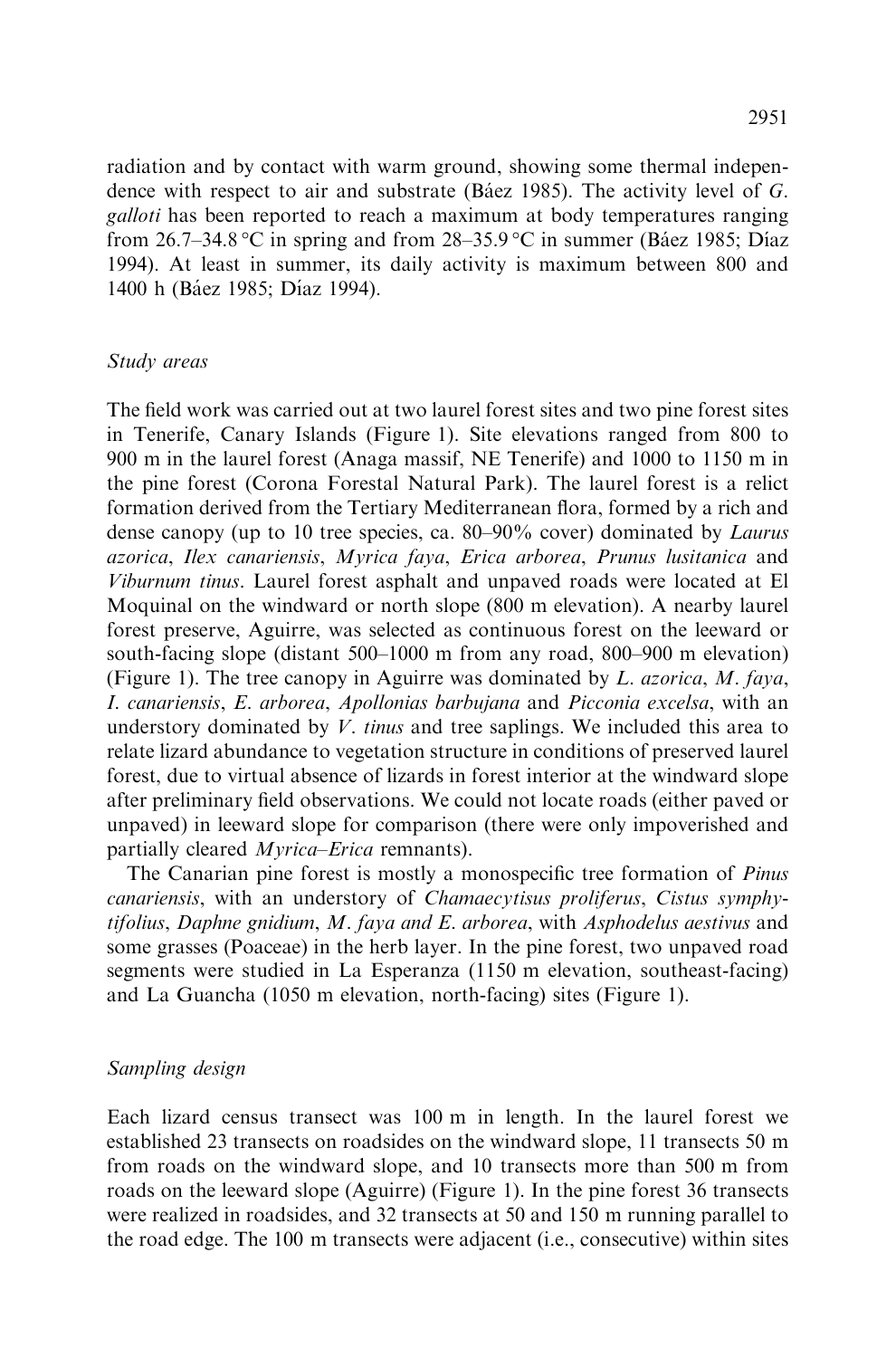radiation and by contact with warm ground, showing some thermal independence with respect to air and substrate (Báez 1985). The activity level of G. galloti has been reported to reach a maximum at body temperatures ranging from 26.7–34.8 °C in spring and from 28–35.9 °C in summer (Báez 1985; Díaz 1994). At least in summer, its daily activity is maximum between 800 and 1400 h (Báez 1985; Díaz 1994).

## Study areas

The field work was carried out at two laurel forest sites and two pine forest sites in Tenerife, Canary Islands (Figure 1). Site elevations ranged from 800 to 900 m in the laurel forest (Anaga massif, NE Tenerife) and 1000 to 1150 m in the pine forest (Corona Forestal Natural Park). The laurel forest is a relict formation derived from the Tertiary Mediterranean flora, formed by a rich and dense canopy (up to 10 tree species, ca. 80–90% cover) dominated by Laurus azorica, Ilex canariensis, Myrica faya, Erica arborea, Prunus lusitanica and Viburnum tinus. Laurel forest asphalt and unpaved roads were located at El Moquinal on the windward or north slope (800 m elevation). A nearby laurel forest preserve, Aguirre, was selected as continuous forest on the leeward or south-facing slope (distant 500–1000 m from any road, 800–900 m elevation) (Figure 1). The tree canopy in Aguirre was dominated by  $L$ . *azorica*,  $M$ . *faya*, I. canariensis, E. arborea, Apollonias barbujana and Picconia excelsa, with an understory dominated by  $V$ . tinus and tree saplings. We included this area to relate lizard abundance to vegetation structure in conditions of preserved laurel forest, due to virtual absence of lizards in forest interior at the windward slope after preliminary field observations. We could not locate roads (either paved or unpaved) in leeward slope for comparison (there were only impoverished and partially cleared Myrica–Erica remnants).

The Canarian pine forest is mostly a monospecific tree formation of *Pinus* canariensis, with an understory of Chamaecytisus proliferus, Cistus symphytifolius, Daphne gnidium, M. faya and E. arborea, with Asphodelus aestivus and some grasses (Poaceae) in the herb layer. In the pine forest, two unpaved road segments were studied in La Esperanza (1150 m elevation, southeast-facing) and La Guancha (1050 m elevation, north-facing) sites (Figure 1).

## Sampling design

Each lizard census transect was 100 m in length. In the laurel forest we established 23 transects on roadsides on the windward slope, 11 transects 50 m from roads on the windward slope, and 10 transects more than 500 m from roads on the leeward slope (Aguirre) (Figure 1). In the pine forest 36 transects were realized in roadsides, and 32 transects at 50 and 150 m running parallel to the road edge. The 100 m transects were adjacent (i.e., consecutive) within sites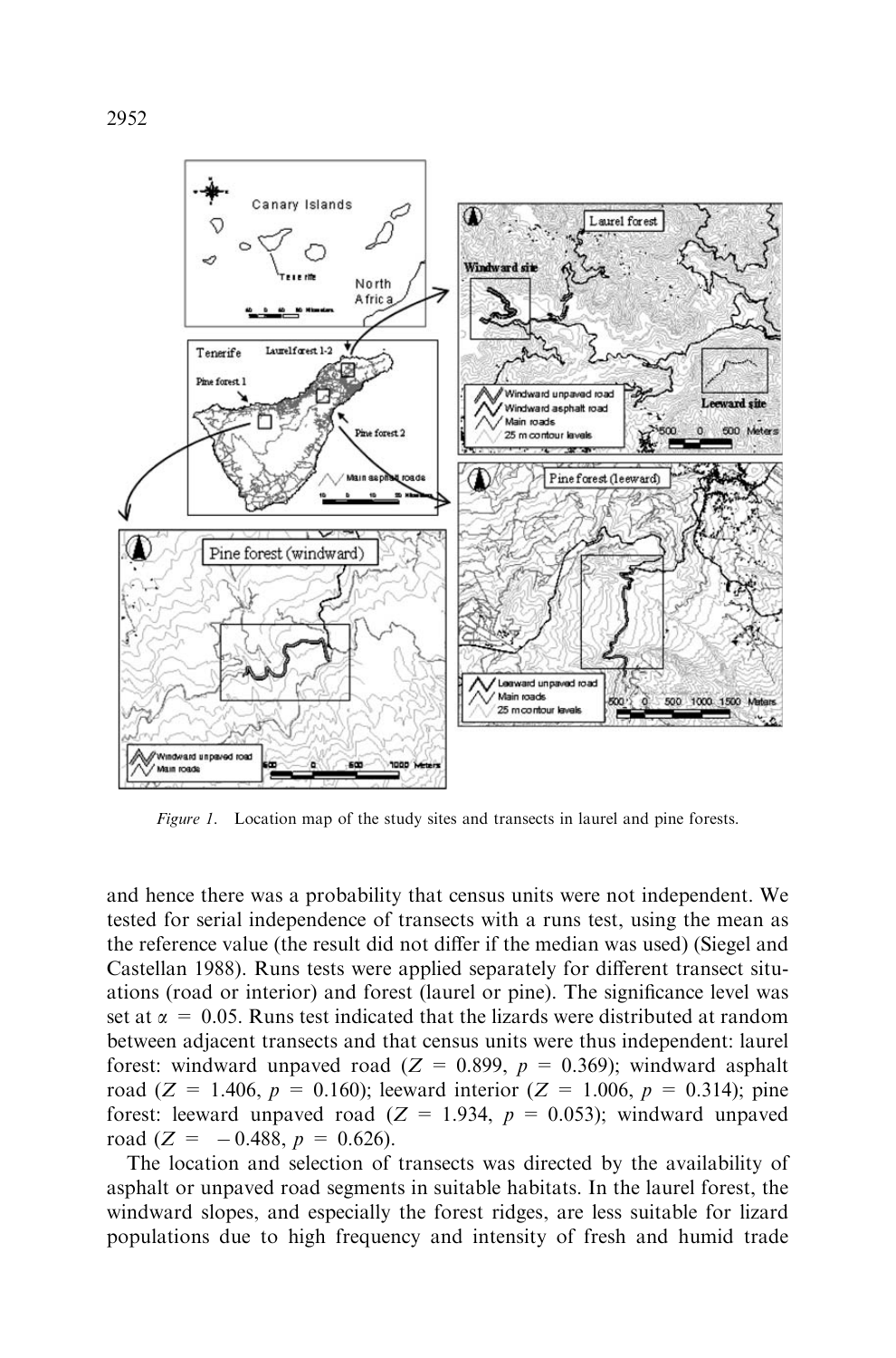

Figure 1. Location map of the study sites and transects in laurel and pine forests.

and hence there was a probability that census units were not independent. We tested for serial independence of transects with a runs test, using the mean as the reference value (the result did not differ if the median was used) (Siegel and Castellan 1988). Runs tests were applied separately for different transect situations (road or interior) and forest (laurel or pine). The significance level was set at  $\alpha = 0.05$ . Runs test indicated that the lizards were distributed at random between adjacent transects and that census units were thus independent: laurel forest: windward unpaved road ( $Z = 0.899$ ,  $p = 0.369$ ); windward asphalt road (Z = 1.406,  $p = 0.160$ ); leeward interior (Z = 1.006,  $p = 0.314$ ); pine forest: leeward unpaved road ( $Z = 1.934$ ,  $p = 0.053$ ); windward unpaved road ( $Z = -0.488$ ,  $p = 0.626$ ).

The location and selection of transects was directed by the availability of asphalt or unpaved road segments in suitable habitats. In the laurel forest, the windward slopes, and especially the forest ridges, are less suitable for lizard populations due to high frequency and intensity of fresh and humid trade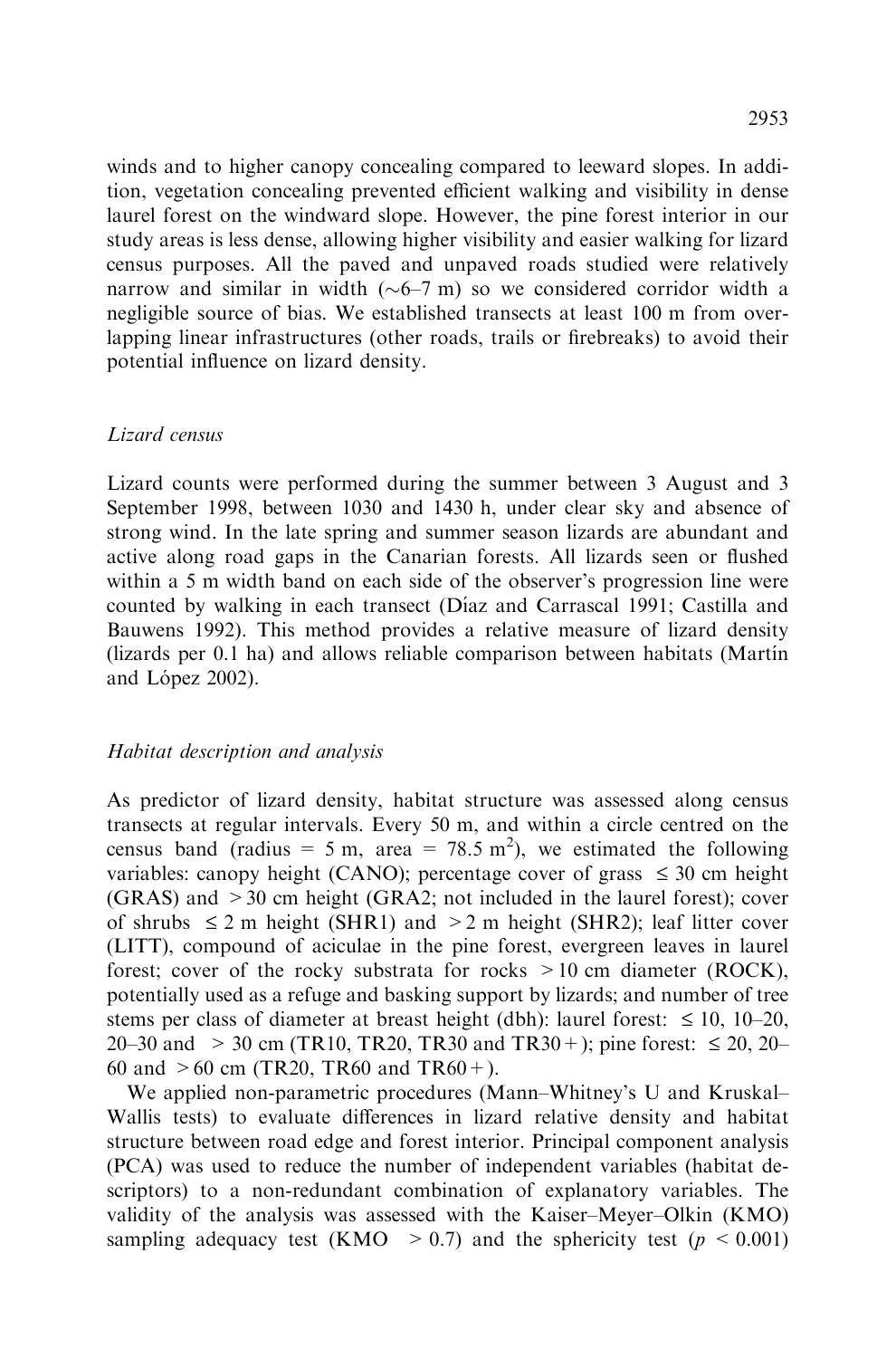winds and to higher canopy concealing compared to leeward slopes. In addition, vegetation concealing prevented efficient walking and visibility in dense laurel forest on the windward slope. However, the pine forest interior in our study areas is less dense, allowing higher visibility and easier walking for lizard census purposes. All the paved and unpaved roads studied were relatively narrow and similar in width  $(\sim]6-7$  m) so we considered corridor width a negligible source of bias. We established transects at least 100 m from overlapping linear infrastructures (other roads, trails or firebreaks) to avoid their potential influence on lizard density.

## Lizard census

Lizard counts were performed during the summer between 3 August and 3 September 1998, between 1030 and 1430 h, under clear sky and absence of strong wind. In the late spring and summer season lizards are abundant and active along road gaps in the Canarian forests. All lizards seen or flushed within a 5 m width band on each side of the observer's progression line were counted by walking in each transect (Díaz and Carrascal 1991; Castilla and Bauwens 1992). This method provides a relative measure of lizard density (lizards per 0.1 ha) and allows reliable comparison between habitats (Martin) and López 2002).

## Habitat description and analysis

As predictor of lizard density, habitat structure was assessed along census transects at regular intervals. Every 50 m, and within a circle centred on the census band (radius = 5 m, area = 78.5 m<sup>2</sup>), we estimated the following variables: canopy height (CANO); percentage cover of grass  $\leq$  30 cm height  $(GRAS)$  and  $>30$  cm height  $(GRA2;$  not included in the laurel forest); cover of shrubs  $\leq 2$  m height (SHR1) and  $>2$  m height (SHR2); leaf litter cover (LITT), compound of aciculae in the pine forest, evergreen leaves in laurel forest; cover of the rocky substrata for rocks  $>10$  cm diameter (ROCK), potentially used as a refuge and basking support by lizards; and number of tree stems per class of diameter at breast height (dbh): laurel forest:  $\leq 10$ , 10–20, 20–30 and  $> 30$  cm (TR10, TR20, TR30 and TR30+); pine forest:  $\leq 20$ , 20– 60 and  $>60$  cm (TR20, TR60 and TR60+).

We applied non-parametric procedures (Mann–Whitney's U and Kruskal– Wallis tests) to evaluate differences in lizard relative density and habitat structure between road edge and forest interior. Principal component analysis (PCA) was used to reduce the number of independent variables (habitat descriptors) to a non-redundant combination of explanatory variables. The validity of the analysis was assessed with the Kaiser–Meyer–Olkin (KMO) sampling adequacy test (KMO  $> 0.7$ ) and the sphericity test ( $p < 0.001$ )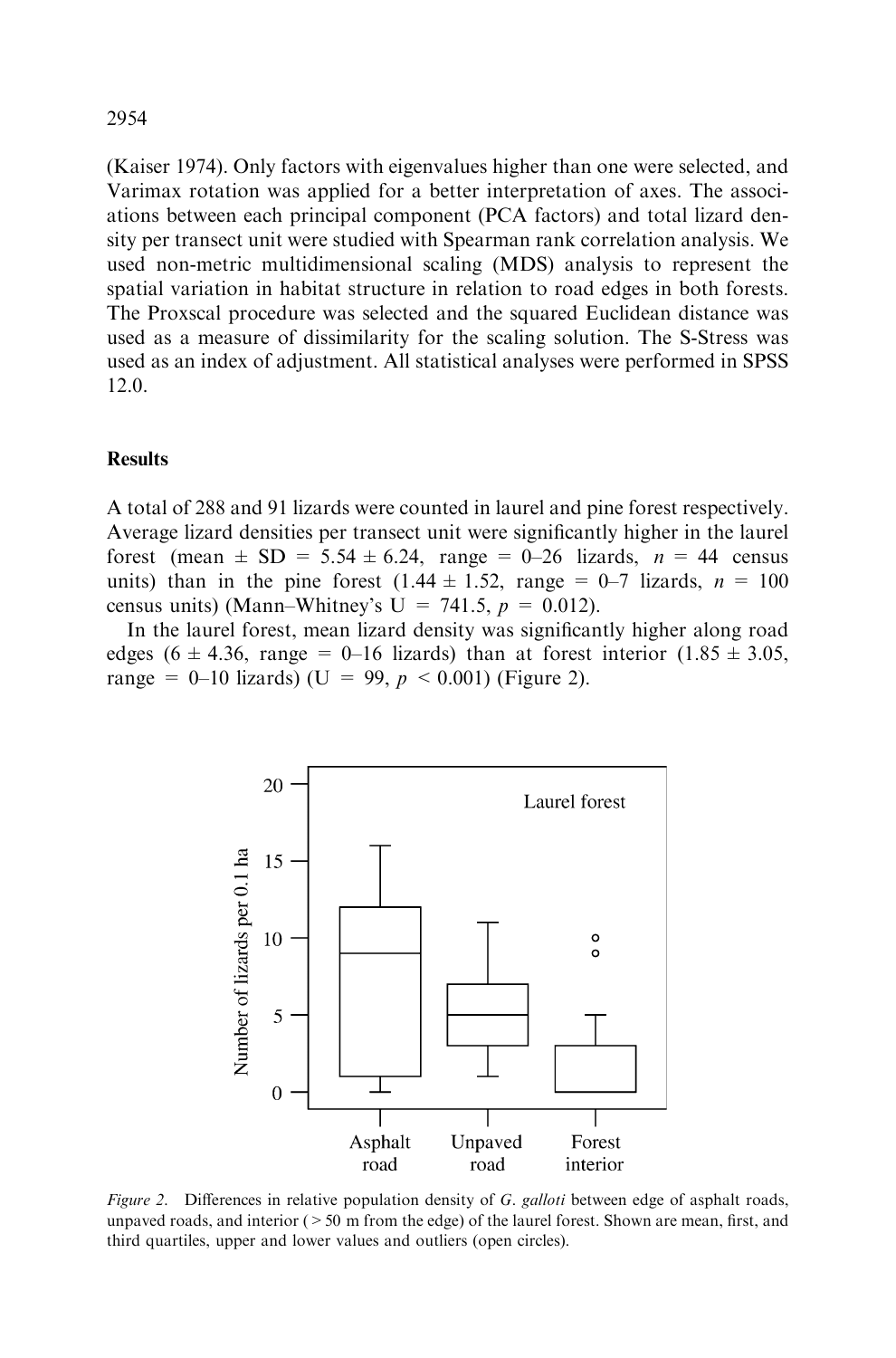(Kaiser 1974). Only factors with eigenvalues higher than one were selected, and Varimax rotation was applied for a better interpretation of axes. The associations between each principal component (PCA factors) and total lizard density per transect unit were studied with Spearman rank correlation analysis. We used non-metric multidimensional scaling (MDS) analysis to represent the spatial variation in habitat structure in relation to road edges in both forests. The Proxscal procedure was selected and the squared Euclidean distance was used as a measure of dissimilarity for the scaling solution. The S-Stress was used as an index of adjustment. All statistical analyses were performed in SPSS 12.0.

## Results

A total of 288 and 91 lizards were counted in laurel and pine forest respectively. Average lizard densities per transect unit were significantly higher in the laurel forest (mean  $\pm$  SD = 5.54  $\pm$  6.24, range = 0–26 lizards,  $n = 44$  census units) than in the pine forest  $(1.44 \pm 1.52, \text{ range} = 0-7 \text{ lizados}, n = 100$ census units) (Mann–Whitney's U = 741.5,  $p = 0.012$ ).

In the laurel forest, mean lizard density was significantly higher along road edges (6  $\pm$  4.36, range = 0–16 lizards) than at forest interior (1.85  $\pm$  3.05, range = 0–10 lizards) (U = 99,  $p < 0.001$ ) (Figure 2).



Figure 2. Differences in relative population density of G. galloti between edge of asphalt roads, unpaved roads, and interior ( $>50$  m from the edge) of the laurel forest. Shown are mean, first, and third quartiles, upper and lower values and outliers (open circles).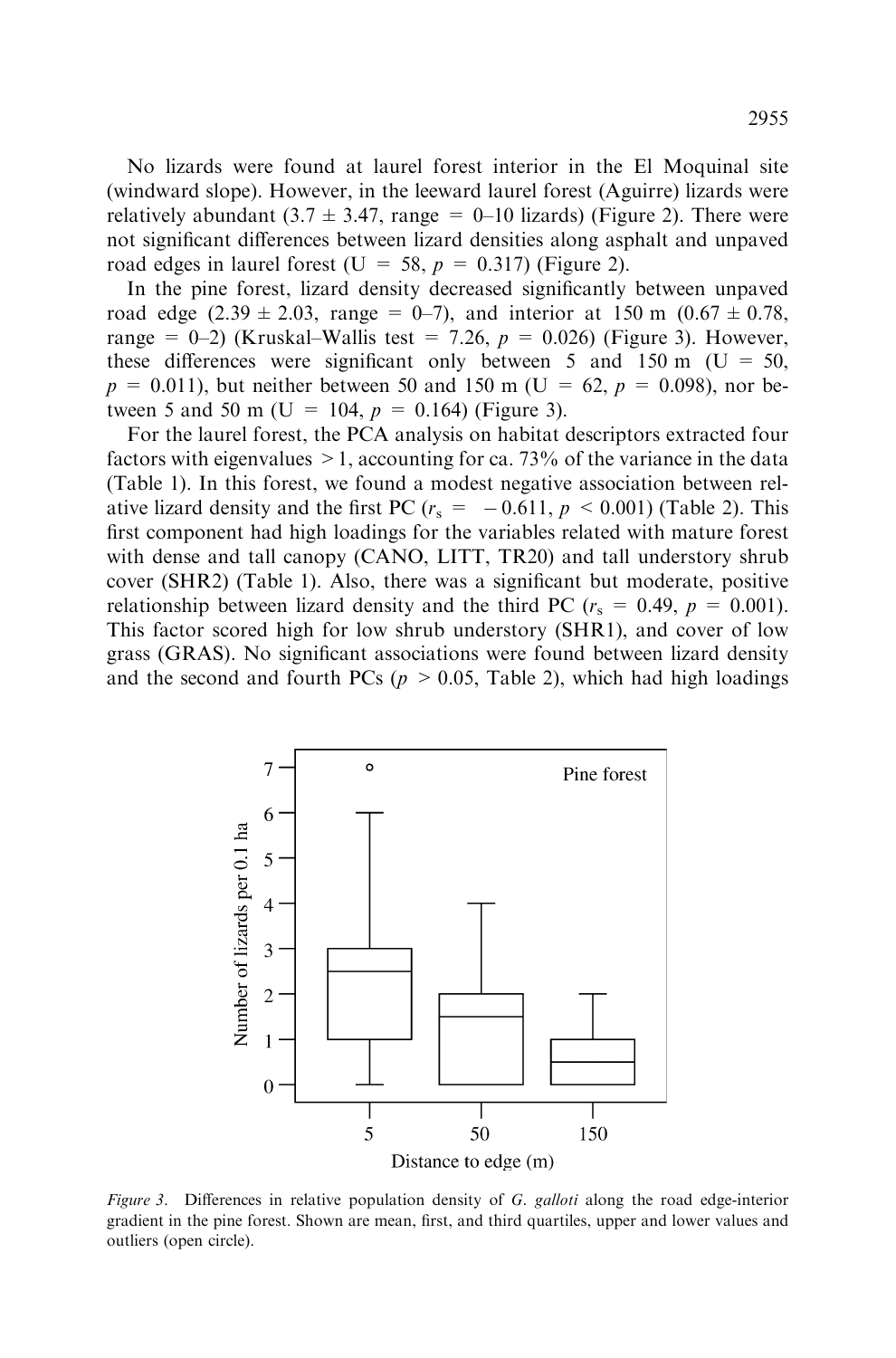No lizards were found at laurel forest interior in the El Moquinal site (windward slope). However, in the leeward laurel forest (Aguirre) lizards were relatively abundant (3.7  $\pm$  3.47, range = 0–10 lizards) (Figure 2). There were not significant differences between lizard densities along asphalt and unpaved road edges in laurel forest (U = 58,  $p = 0.317$ ) (Figure 2).

In the pine forest, lizard density decreased significantly between unpaved road edge (2.39  $\pm$  2.03, range = 0–7), and interior at 150 m (0.67  $\pm$  0.78, range = 0–2) (Kruskal–Wallis test = 7.26,  $p = 0.026$ ) (Figure 3). However, these differences were significant only between 5 and 150 m ( $U = 50$ ,  $p = 0.011$ , but neither between 50 and 150 m (U = 62, p = 0.098), nor between 5 and 50 m (U = 104,  $p = 0.164$ ) (Figure 3).

For the laurel forest, the PCA analysis on habitat descriptors extracted four factors with eigenvalues  $>1$ , accounting for ca. 73% of the variance in the data (Table 1). In this forest, we found a modest negative association between relative lizard density and the first PC  $(r<sub>s</sub> = -0.611, p < 0.001)$  (Table 2). This first component had high loadings for the variables related with mature forest with dense and tall canopy (CANO, LITT, TR20) and tall understory shrub cover (SHR2) (Table 1). Also, there was a significant but moderate, positive relationship between lizard density and the third PC ( $r_s = 0.49$ ,  $p = 0.001$ ). This factor scored high for low shrub understory (SHR1), and cover of low grass (GRAS). No significant associations were found between lizard density and the second and fourth PCs ( $p > 0.05$ , Table 2), which had high loadings



Figure 3. Differences in relative population density of G. galloti along the road edge-interior gradient in the pine forest. Shown are mean, first, and third quartiles, upper and lower values and outliers (open circle).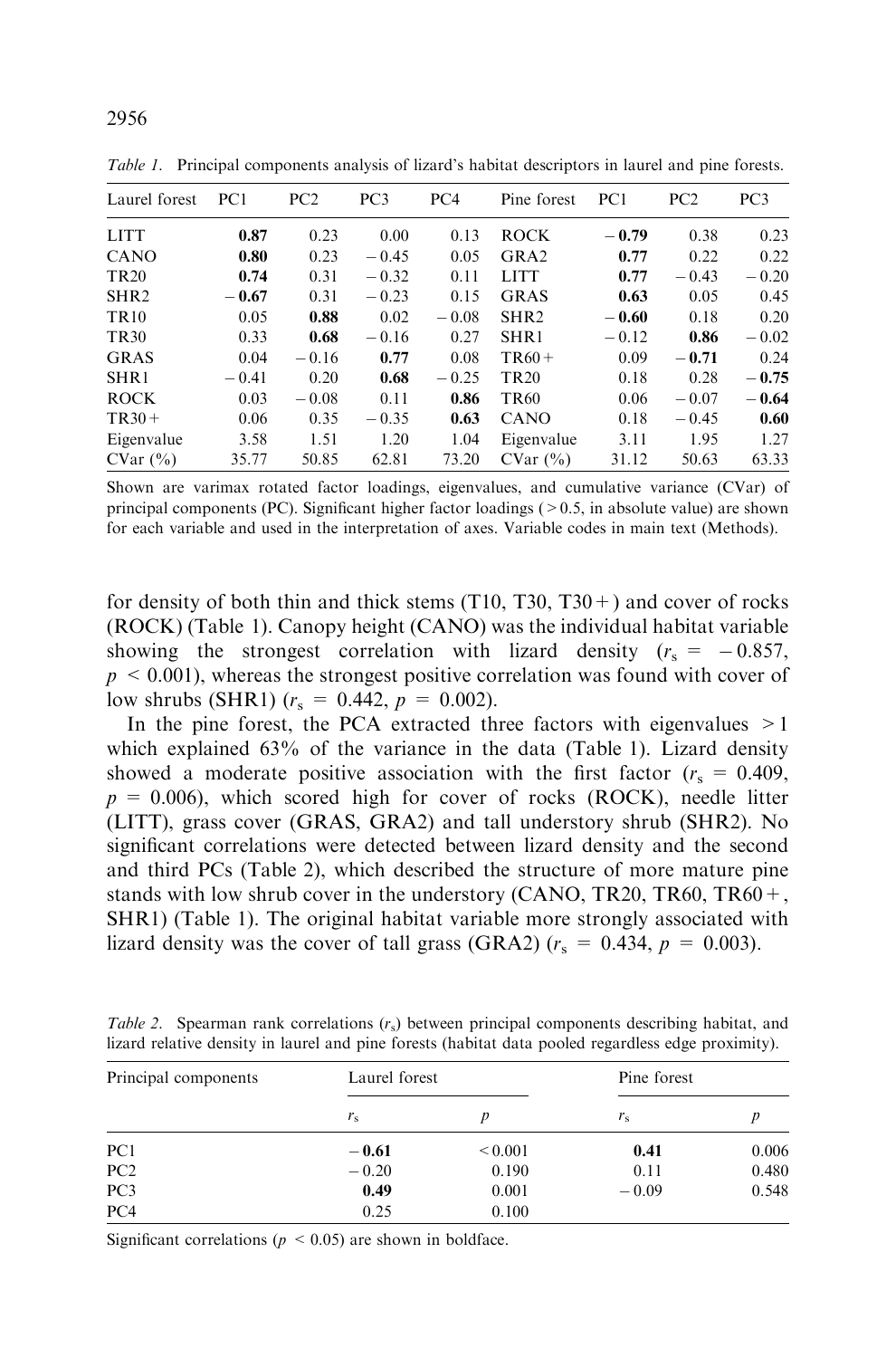| Laurel forest    | PC <sub>1</sub> | PC2     | PC3     | PC <sub>4</sub> | Pine forest      | PC <sub>1</sub> | PC2     | PC <sub>3</sub> |
|------------------|-----------------|---------|---------|-----------------|------------------|-----------------|---------|-----------------|
| <b>LITT</b>      | 0.87            | 0.23    | 0.00    | 0.13            | <b>ROCK</b>      | $-0.79$         | 0.38    | 0.23            |
| <b>CANO</b>      | 0.80            | 0.23    | $-0.45$ | 0.05            | GRA2             | 0.77            | 0.22    | 0.22            |
| <b>TR20</b>      | 0.74            | 0.31    | $-0.32$ | 0.11            | <b>LITT</b>      | 0.77            | $-0.43$ | $-0.20$         |
| SHR <sub>2</sub> | $-0.67$         | 0.31    | $-0.23$ | 0.15            | <b>GRAS</b>      | 0.63            | 0.05    | 0.45            |
| <b>TR10</b>      | 0.05            | 0.88    | 0.02    | $-0.08$         | SHR <sub>2</sub> | $-0.60$         | 0.18    | 0.20            |
| <b>TR30</b>      | 0.33            | 0.68    | $-0.16$ | 0.27            | SHR1             | $-0.12$         | 0.86    | $-0.02$         |
| <b>GRAS</b>      | 0.04            | $-0.16$ | 0.77    | 0.08            | $TR60+$          | 0.09            | $-0.71$ | 0.24            |
| SHR1             | $-0.41$         | 0.20    | 0.68    | $-0.25$         | <b>TR20</b>      | 0.18            | 0.28    | $-0.75$         |
| <b>ROCK</b>      | 0.03            | $-0.08$ | 0.11    | 0.86            | <b>TR60</b>      | 0.06            | $-0.07$ | $-0.64$         |
| $TR30+$          | 0.06            | 0.35    | $-0.35$ | 0.63            | <b>CANO</b>      | 0.18            | $-0.45$ | 0.60            |
| Eigenvalue       | 3.58            | 1.51    | 1.20    | 1.04            | Eigenvalue       | 3.11            | 1.95    | 1.27            |
| CVar(%)          | 35.77           | 50.85   | 62.81   | 73.20           | $CVar(\%)$       | 31.12           | 50.63   | 63.33           |

Table 1. Principal components analysis of lizard's habitat descriptors in laurel and pine forests.

Shown are varimax rotated factor loadings, eigenvalues, and cumulative variance (CVar) of principal components (PC). Significant higher factor loadings  $(>0.5$ , in absolute value) are shown for each variable and used in the interpretation of axes. Variable codes in main text (Methods).

for density of both thin and thick stems  $(T10, T30, T30+)$  and cover of rocks (ROCK) (Table 1). Canopy height (CANO) was the individual habitat variable showing the strongest correlation with lizard density  $(r_s = -0.857,$  $p \leq 0.001$ , whereas the strongest positive correlation was found with cover of low shrubs (SHR1) ( $r_s = 0.442$ ,  $p = 0.002$ ).

In the pine forest, the PCA extracted three factors with eigenvalues  $>1$ which explained 63% of the variance in the data (Table 1). Lizard density showed a moderate positive association with the first factor  $(r_s = 0.409,$  $p = 0.006$ , which scored high for cover of rocks (ROCK), needle litter (LITT), grass cover (GRAS, GRA2) and tall understory shrub (SHR2). No significant correlations were detected between lizard density and the second and third PCs (Table 2), which described the structure of more mature pine stands with low shrub cover in the understory (CANO, TR20, TR60, TR60+, SHR1) (Table 1). The original habitat variable more strongly associated with lizard density was the cover of tall grass (GRA2) ( $r_s = 0.434$ ,  $p = 0.003$ ).

Table 2. Spearman rank correlations  $(r<sub>s</sub>)$  between principal components describing habitat, and lizard relative density in laurel and pine forests (habitat data pooled regardless edge proximity).

| Principal components | Laurel forest |              | Pine forest |       |  |
|----------------------|---------------|--------------|-------------|-------|--|
|                      | $r_{\rm s}$   |              | $r_{\rm s}$ |       |  |
| PC1                  | $-0.61$       | ${}_{0.001}$ | 0.41        | 0.006 |  |
| PC <sub>2</sub>      | $-0.20$       | 0.190        | 0.11        | 0.480 |  |
| PC <sub>3</sub>      | 0.49          | 0.001        | $-0.09$     | 0.548 |  |
| PC <sub>4</sub>      | 0.25          | 0.100        |             |       |  |

Significant correlations ( $p \leq 0.05$ ) are shown in boldface.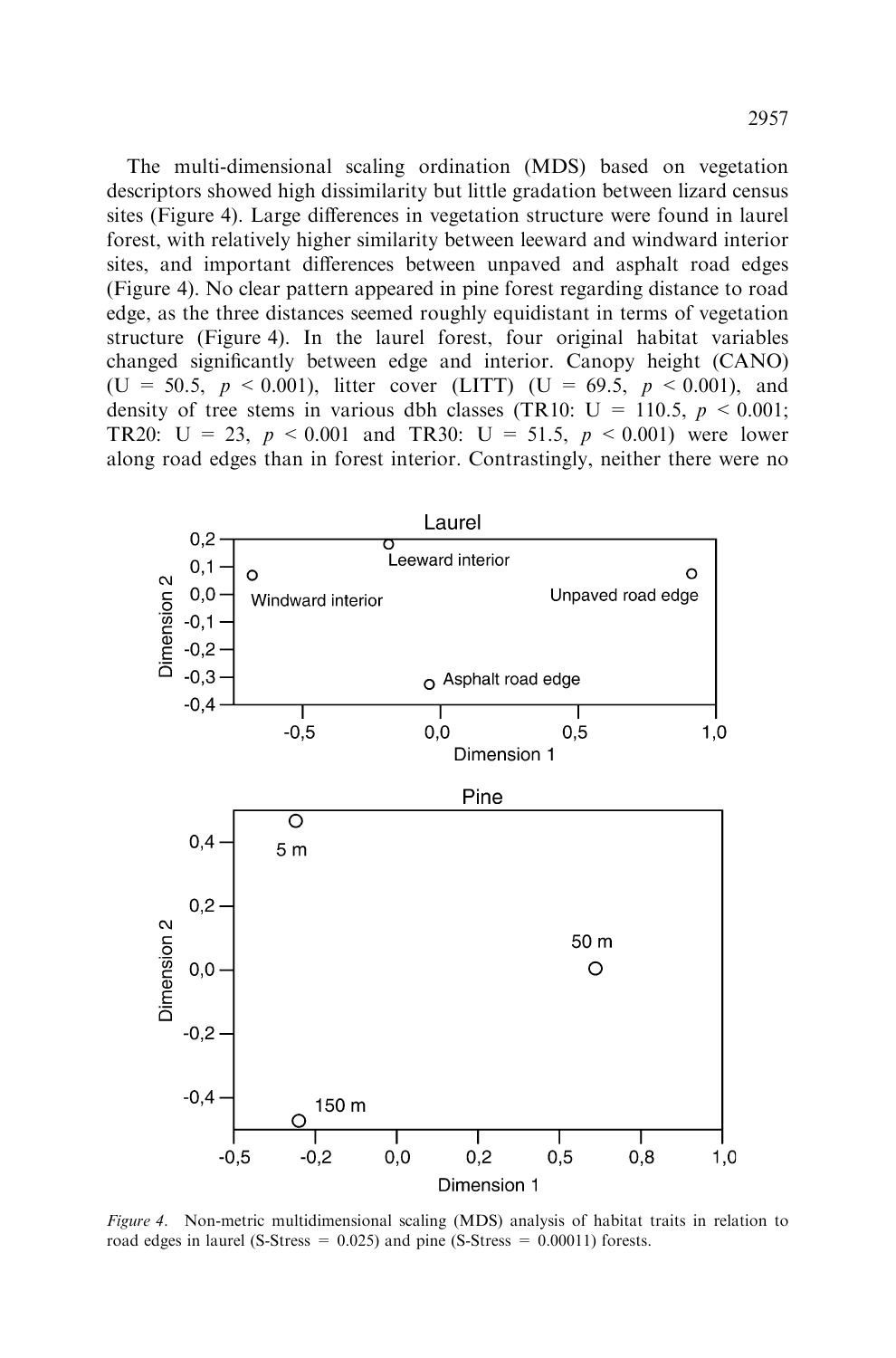The multi-dimensional scaling ordination (MDS) based on vegetation descriptors showed high dissimilarity but little gradation between lizard census sites (Figure 4). Large differences in vegetation structure were found in laurel forest, with relatively higher similarity between leeward and windward interior sites, and important differences between unpaved and asphalt road edges (Figure 4). No clear pattern appeared in pine forest regarding distance to road edge, as the three distances seemed roughly equidistant in terms of vegetation structure (Figure 4). In the laurel forest, four original habitat variables changed significantly between edge and interior. Canopy height (CANO) (U = 50.5,  $p < 0.001$ ), litter cover (LITT) (U = 69.5,  $p < 0.001$ ), and density of tree stems in various dbh classes (TR10: U = 110.5,  $p \le 0.001$ ; TR20: U = 23,  $p < 0.001$  and TR30: U = 51.5,  $p < 0.001$ ) were lower along road edges than in forest interior. Contrastingly, neither there were no



Figure 4. Non-metric multidimensional scaling (MDS) analysis of habitat traits in relation to road edges in laurel (S-Stress =  $0.025$ ) and pine (S-Stress =  $0.00011$ ) forests.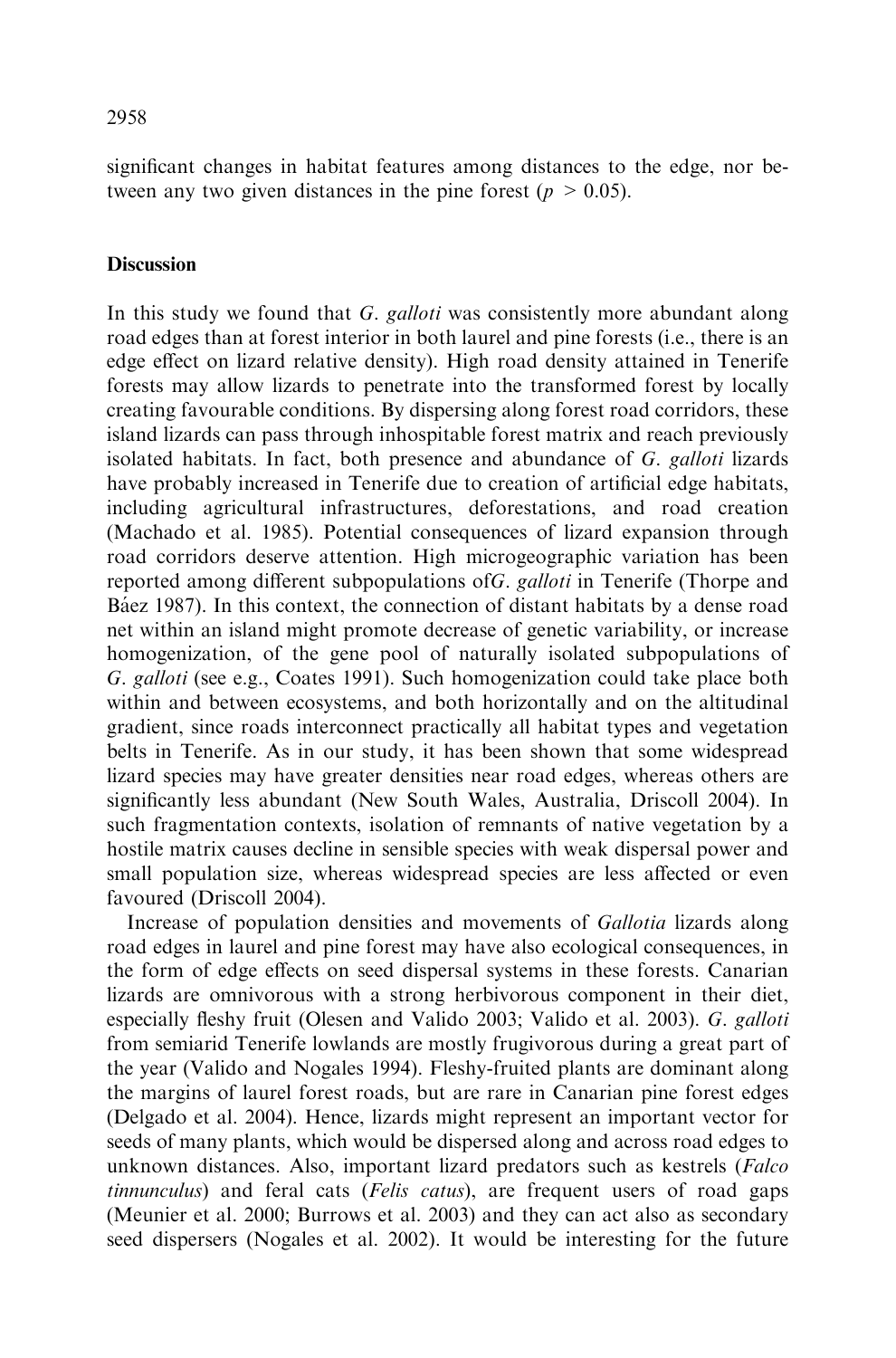significant changes in habitat features among distances to the edge, nor between any two given distances in the pine forest ( $p > 0.05$ ).

## Discussion

In this study we found that G. galloti was consistently more abundant along road edges than at forest interior in both laurel and pine forests (i.e., there is an edge effect on lizard relative density). High road density attained in Tenerife forests may allow lizards to penetrate into the transformed forest by locally creating favourable conditions. By dispersing along forest road corridors, these island lizards can pass through inhospitable forest matrix and reach previously isolated habitats. In fact, both presence and abundance of G. galloti lizards have probably increased in Tenerife due to creation of artificial edge habitats, including agricultural infrastructures, deforestations, and road creation (Machado et al. 1985). Potential consequences of lizard expansion through road corridors deserve attention. High microgeographic variation has been reported among different subpopulations of G. galloti in Tenerife (Thorpe and Báez 1987). In this context, the connection of distant habitats by a dense road net within an island might promote decrease of genetic variability, or increase homogenization, of the gene pool of naturally isolated subpopulations of G. galloti (see e.g., Coates 1991). Such homogenization could take place both within and between ecosystems, and both horizontally and on the altitudinal gradient, since roads interconnect practically all habitat types and vegetation belts in Tenerife. As in our study, it has been shown that some widespread lizard species may have greater densities near road edges, whereas others are significantly less abundant (New South Wales, Australia, Driscoll 2004). In such fragmentation contexts, isolation of remnants of native vegetation by a hostile matrix causes decline in sensible species with weak dispersal power and small population size, whereas widespread species are less affected or even favoured (Driscoll 2004).

Increase of population densities and movements of Gallotia lizards along road edges in laurel and pine forest may have also ecological consequences, in the form of edge effects on seed dispersal systems in these forests. Canarian lizards are omnivorous with a strong herbivorous component in their diet, especially fleshy fruit (Olesen and Valido 2003; Valido et al. 2003). G. galloti from semiarid Tenerife lowlands are mostly frugivorous during a great part of the year (Valido and Nogales 1994). Fleshy-fruited plants are dominant along the margins of laurel forest roads, but are rare in Canarian pine forest edges (Delgado et al. 2004). Hence, lizards might represent an important vector for seeds of many plants, which would be dispersed along and across road edges to unknown distances. Also, important lizard predators such as kestrels (Falco tinnunculus) and feral cats (Felis catus), are frequent users of road gaps (Meunier et al. 2000; Burrows et al. 2003) and they can act also as secondary seed dispersers (Nogales et al. 2002). It would be interesting for the future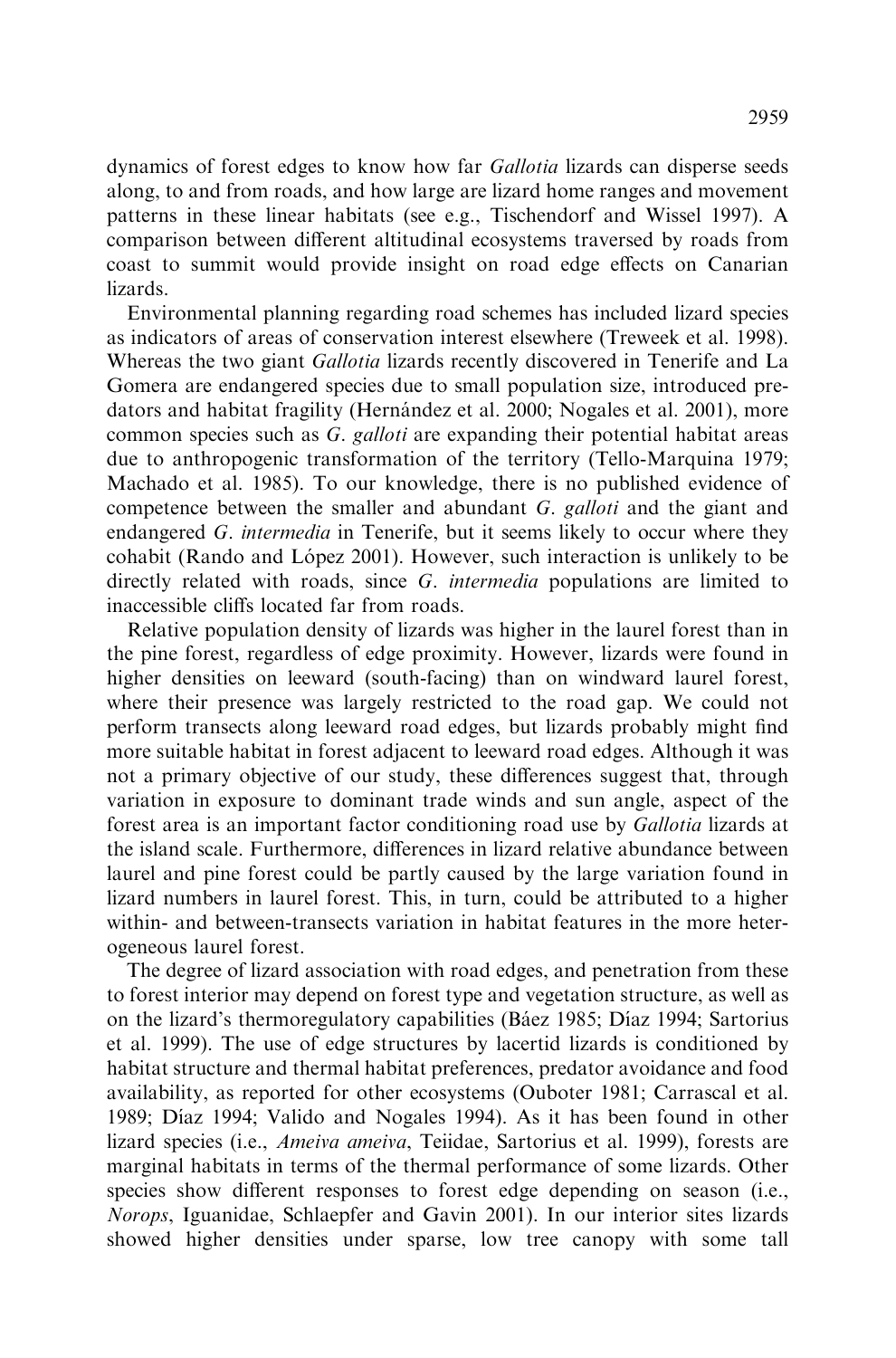dynamics of forest edges to know how far *Gallotia* lizards can disperse seeds along, to and from roads, and how large are lizard home ranges and movement patterns in these linear habitats (see e.g., Tischendorf and Wissel 1997). A comparison between different altitudinal ecosystems traversed by roads from coast to summit would provide insight on road edge effects on Canarian lizards.

Environmental planning regarding road schemes has included lizard species as indicators of areas of conservation interest elsewhere (Treweek et al. 1998). Whereas the two giant *Gallotia* lizards recently discovered in Tenerife and La Gomera are endangered species due to small population size, introduced predators and habitat fragility (Hernández et al. 2000; Nogales et al. 2001), more common species such as G. galloti are expanding their potential habitat areas due to anthropogenic transformation of the territory (Tello-Marquina 1979; Machado et al. 1985). To our knowledge, there is no published evidence of competence between the smaller and abundant G. galloti and the giant and endangered G. *intermedia* in Tenerife, but it seems likely to occur where they cohabit (Rando and López 2001). However, such interaction is unlikely to be directly related with roads, since G. *intermedia* populations are limited to inaccessible cliffs located far from roads.

Relative population density of lizards was higher in the laurel forest than in the pine forest, regardless of edge proximity. However, lizards were found in higher densities on leeward (south-facing) than on windward laurel forest, where their presence was largely restricted to the road gap. We could not perform transects along leeward road edges, but lizards probably might find more suitable habitat in forest adjacent to leeward road edges. Although it was not a primary objective of our study, these differences suggest that, through variation in exposure to dominant trade winds and sun angle, aspect of the forest area is an important factor conditioning road use by Gallotia lizards at the island scale. Furthermore, differences in lizard relative abundance between laurel and pine forest could be partly caused by the large variation found in lizard numbers in laurel forest. This, in turn, could be attributed to a higher within- and between-transects variation in habitat features in the more heterogeneous laurel forest.

The degree of lizard association with road edges, and penetration from these to forest interior may depend on forest type and vegetation structure, as well as on the lizard's thermoregulatory capabilities (Báez 1985; Díaz 1994; Sartorius et al. 1999). The use of edge structures by lacertid lizards is conditioned by habitat structure and thermal habitat preferences, predator avoidance and food availability, as reported for other ecosystems (Ouboter 1981; Carrascal et al. 1989; Díaz 1994; Valido and Nogales 1994). As it has been found in other lizard species (i.e., Ameiva ameiva, Teiidae, Sartorius et al. 1999), forests are marginal habitats in terms of the thermal performance of some lizards. Other species show different responses to forest edge depending on season (i.e., Norops, Iguanidae, Schlaepfer and Gavin 2001). In our interior sites lizards showed higher densities under sparse, low tree canopy with some tall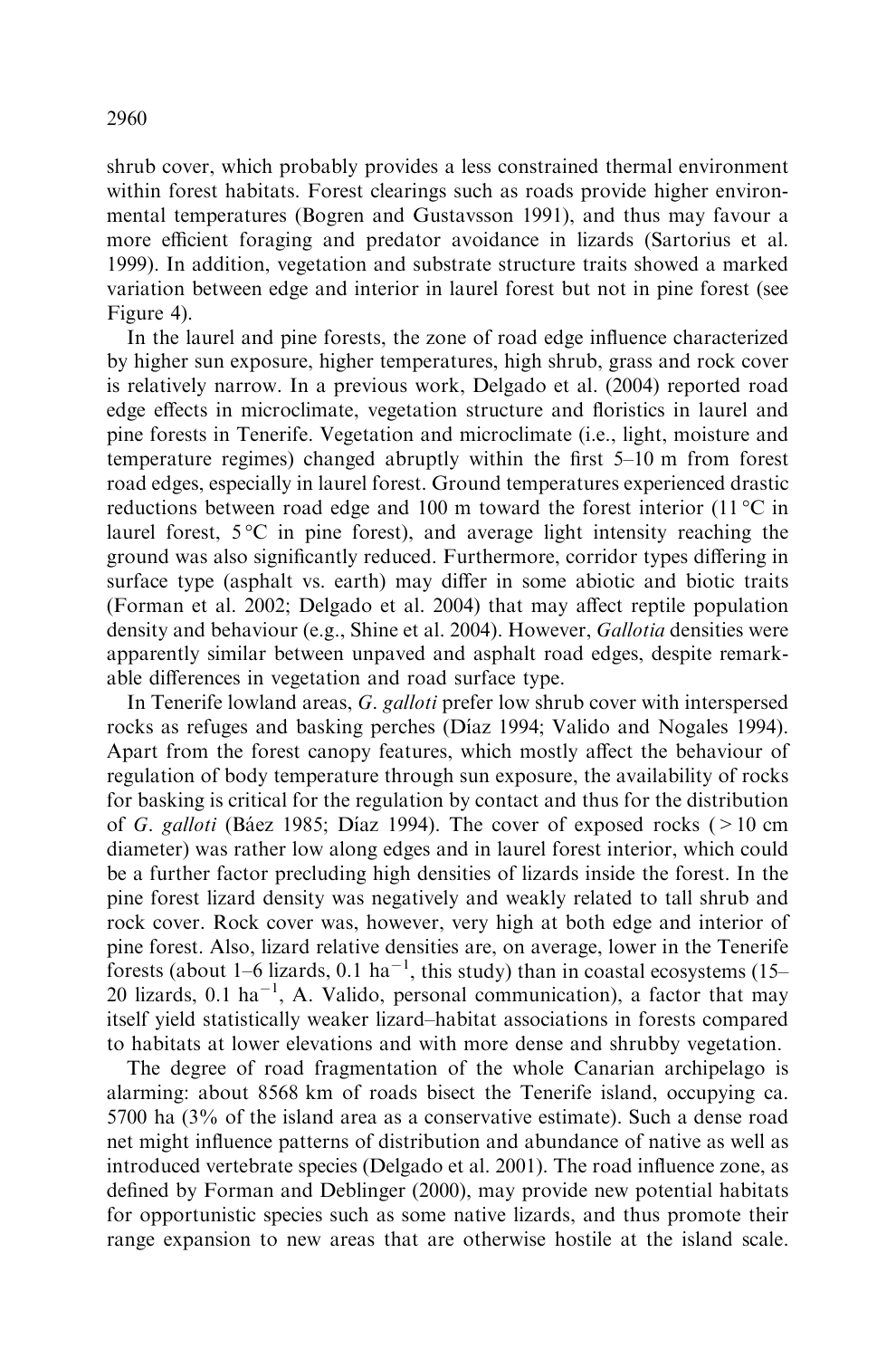shrub cover, which probably provides a less constrained thermal environment within forest habitats. Forest clearings such as roads provide higher environmental temperatures (Bogren and Gustavsson 1991), and thus may favour a more efficient foraging and predator avoidance in lizards (Sartorius et al. 1999). In addition, vegetation and substrate structure traits showed a marked variation between edge and interior in laurel forest but not in pine forest (see Figure 4).

In the laurel and pine forests, the zone of road edge influence characterized by higher sun exposure, higher temperatures, high shrub, grass and rock cover is relatively narrow. In a previous work, Delgado et al. (2004) reported road edge effects in microclimate, vegetation structure and floristics in laurel and pine forests in Tenerife. Vegetation and microclimate (i.e., light, moisture and temperature regimes) changed abruptly within the first 5–10 m from forest road edges, especially in laurel forest. Ground temperatures experienced drastic reductions between road edge and 100 m toward the forest interior  $(11 \degree C)$  in laurel forest,  $5^{\circ}$ C in pine forest), and average light intensity reaching the ground was also significantly reduced. Furthermore, corridor types differing in surface type (asphalt vs. earth) may differ in some abiotic and biotic traits (Forman et al. 2002; Delgado et al. 2004) that may affect reptile population density and behaviour (e.g., Shine et al. 2004). However, *Gallotia* densities were apparently similar between unpaved and asphalt road edges, despite remarkable differences in vegetation and road surface type.

In Tenerife lowland areas, G. galloti prefer low shrub cover with interspersed rocks as refuges and basking perches (Díaz 1994; Valido and Nogales 1994). Apart from the forest canopy features, which mostly affect the behaviour of regulation of body temperature through sun exposure, the availability of rocks for basking is critical for the regulation by contact and thus for the distribution of G. galloti (Báez 1985; Díaz 1994). The cover of exposed rocks ( $>10$  cm diameter) was rather low along edges and in laurel forest interior, which could be a further factor precluding high densities of lizards inside the forest. In the pine forest lizard density was negatively and weakly related to tall shrub and rock cover. Rock cover was, however, very high at both edge and interior of pine forest. Also, lizard relative densities are, on average, lower in the Tenerife forests (about 1–6 lizards, 0.1 ha<sup>-1</sup>, this study) than in coastal ecosystems (15– 20 lizards, 0.1 ha<sup>-1</sup>, A. Valido, personal communication), a factor that may itself yield statistically weaker lizard–habitat associations in forests compared to habitats at lower elevations and with more dense and shrubby vegetation.

The degree of road fragmentation of the whole Canarian archipelago is alarming: about 8568 km of roads bisect the Tenerife island, occupying ca. 5700 ha (3% of the island area as a conservative estimate). Such a dense road net might influence patterns of distribution and abundance of native as well as introduced vertebrate species (Delgado et al. 2001). The road influence zone, as defined by Forman and Deblinger (2000), may provide new potential habitats for opportunistic species such as some native lizards, and thus promote their range expansion to new areas that are otherwise hostile at the island scale.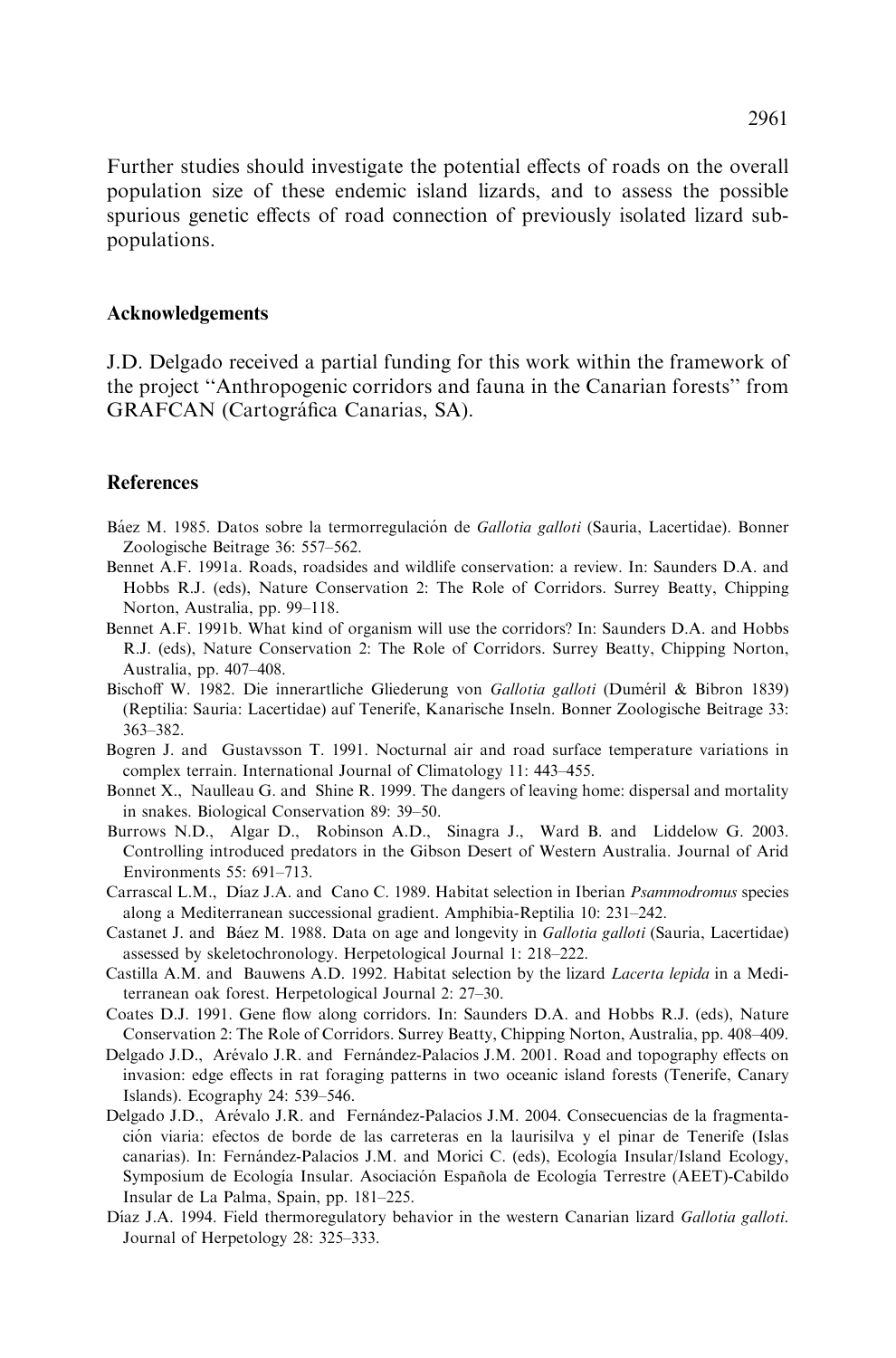Further studies should investigate the potential effects of roads on the overall population size of these endemic island lizards, and to assess the possible spurious genetic effects of road connection of previously isolated lizard subpopulations.

#### Acknowledgements

J.D. Delgado received a partial funding for this work within the framework of the project ''Anthropogenic corridors and fauna in the Canarian forests'' from GRAFCAN (Cartográfica Canarias, SA).

### **References**

- Báez M. 1985. Datos sobre la termorregulación de Gallotia galloti (Sauria, Lacertidae). Bonner Zoologische Beitrage 36: 557–562.
- Bennet A.F. 1991a. Roads, roadsides and wildlife conservation: a review. In: Saunders D.A. and Hobbs R.J. (eds), Nature Conservation 2: The Role of Corridors. Surrey Beatty, Chipping Norton, Australia, pp. 99–118.
- Bennet A.F. 1991b. What kind of organism will use the corridors? In: Saunders D.A. and Hobbs R.J. (eds), Nature Conservation 2: The Role of Corridors. Surrey Beatty, Chipping Norton, Australia, pp. 407–408.
- Bischoff W. 1982. Die innerartliche Gliederung von Gallotia galloti (Duméril & Bibron 1839) (Reptilia: Sauria: Lacertidae) auf Tenerife, Kanarische Inseln. Bonner Zoologische Beitrage 33: 363–382.
- Bogren J. and Gustavsson T. 1991. Nocturnal air and road surface temperature variations in complex terrain. International Journal of Climatology 11: 443–455.
- Bonnet X., Naulleau G. and Shine R. 1999. The dangers of leaving home: dispersal and mortality in snakes. Biological Conservation 89: 39–50.
- Burrows N.D., Algar D., Robinson A.D., Sinagra J., Ward B. and Liddelow G. 2003. Controlling introduced predators in the Gibson Desert of Western Australia. Journal of Arid Environments 55: 691–713.
- Carrascal L.M., Díaz J.A. and Cano C. 1989. Habitat selection in Iberian *Psammodromus* species along a Mediterranean successional gradient. Amphibia-Reptilia 10: 231–242.
- Castanet J. and Báez M. 1988. Data on age and longevity in Gallotia galloti (Sauria, Lacertidae) assessed by skeletochronology. Herpetological Journal 1: 218–222.
- Castilla A.M. and Bauwens A.D. 1992. Habitat selection by the lizard Lacerta lepida in a Mediterranean oak forest. Herpetological Journal 2: 27–30.
- Coates D.J. 1991. Gene flow along corridors. In: Saunders D.A. and Hobbs R.J. (eds), Nature Conservation 2: The Role of Corridors. Surrey Beatty, Chipping Norton, Australia, pp. 408–409.
- Delgado J.D., Arévalo J.R. and Fernández-Palacios J.M. 2001. Road and topography effects on invasion: edge effects in rat foraging patterns in two oceanic island forests (Tenerife, Canary Islands). Ecography 24: 539–546.
- Delgado J.D., Arévalo J.R. and Fernández-Palacios J.M. 2004. Consecuencias de la fragmentacio´n viaria: efectos de borde de las carreteras en la laurisilva y el pinar de Tenerife (Islas canarias). In: Fernández-Palacios J.M. and Morici C. (eds), Ecología Insular/Island Ecology, Symposium de Ecología Insular. Asociación Española de Ecología Terrestre (AEET)-Cabildo Insular de La Palma, Spain, pp. 181–225.
- Díaz J.A. 1994. Field thermoregulatory behavior in the western Canarian lizard Gallotia galloti. Journal of Herpetology 28: 325–333.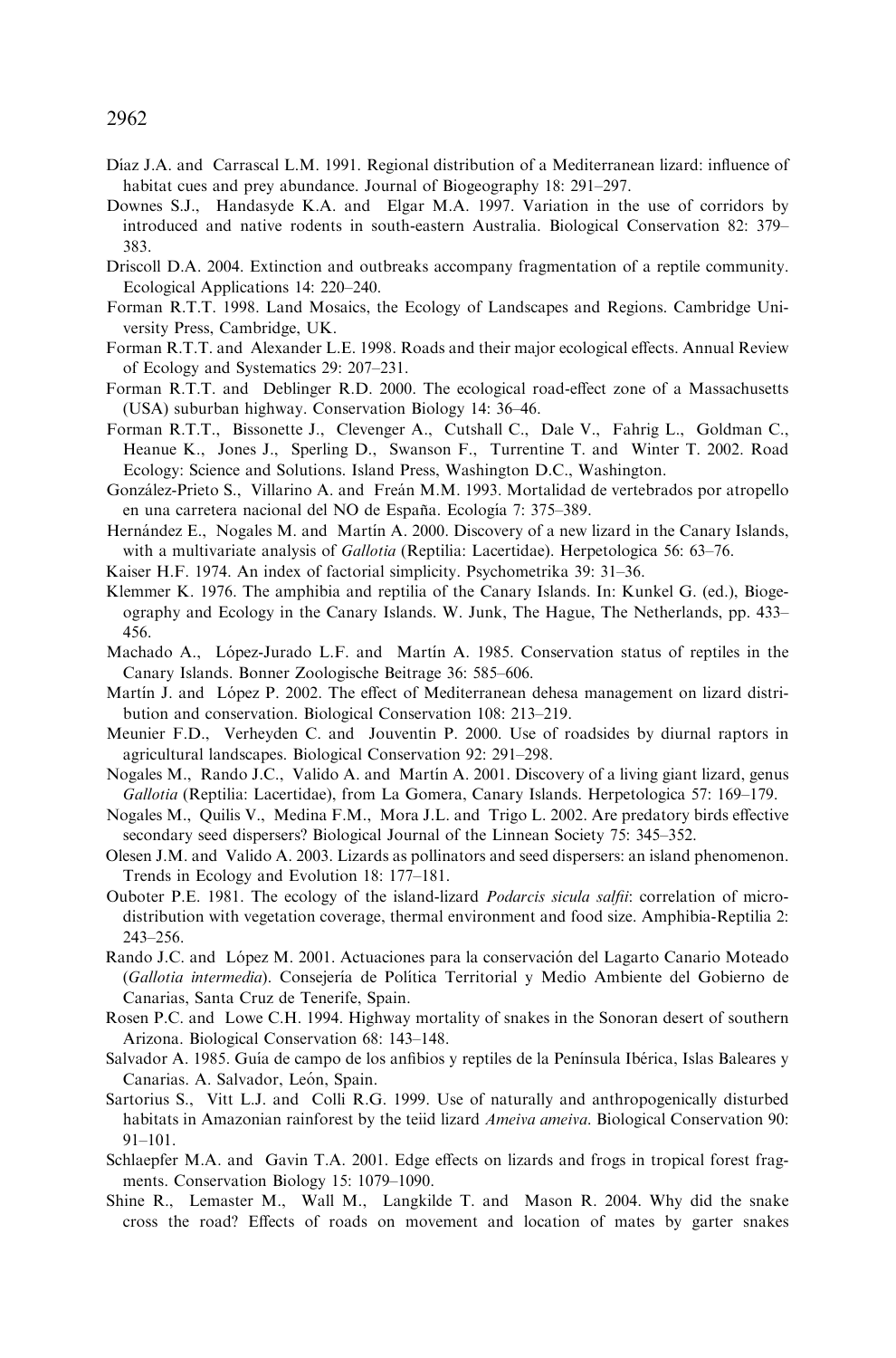- Díaz J.A. and Carrascal L.M. 1991. Regional distribution of a Mediterranean lizard: influence of habitat cues and prey abundance. Journal of Biogeography 18: 291–297.
- Downes S.J., Handasyde K.A. and Elgar M.A. 1997. Variation in the use of corridors by introduced and native rodents in south-eastern Australia. Biological Conservation 82: 379– 383.
- Driscoll D.A. 2004. Extinction and outbreaks accompany fragmentation of a reptile community. Ecological Applications 14: 220–240.
- Forman R.T.T. 1998. Land Mosaics, the Ecology of Landscapes and Regions. Cambridge University Press, Cambridge, UK.
- Forman R.T.T. and Alexander L.E. 1998. Roads and their major ecological effects. Annual Review of Ecology and Systematics 29: 207–231.
- Forman R.T.T. and Deblinger R.D. 2000. The ecological road-effect zone of a Massachusetts (USA) suburban highway. Conservation Biology 14: 36–46.
- Forman R.T.T., Bissonette J., Clevenger A., Cutshall C., Dale V., Fahrig L., Goldman C., Heanue K., Jones J., Sperling D., Swanson F., Turrentine T. and Winter T. 2002. Road Ecology: Science and Solutions. Island Press, Washington D.C., Washington.
- González-Prieto S., Villarino A. and Freán M.M. 1993. Mortalidad de vertebrados por atropello en una carretera nacional del NO de España. Ecología 7: 375–389.
- Hernández E., Nogales M. and Martín A. 2000. Discovery of a new lizard in the Canary Islands, with a multivariate analysis of *Gallotia* (Reptilia: Lacertidae). Herpetologica 56: 63–76.
- Kaiser H.F. 1974. An index of factorial simplicity. Psychometrika 39: 31–36.
- Klemmer K. 1976. The amphibia and reptilia of the Canary Islands. In: Kunkel G. (ed.), Biogeography and Ecology in the Canary Islands. W. Junk, The Hague, The Netherlands, pp. 433– 456.
- Machado A., López-Jurado L.F. and Martín A. 1985. Conservation status of reptiles in the Canary Islands. Bonner Zoologische Beitrage 36: 585–606.
- Martín J. and López P. 2002. The effect of Mediterranean dehesa management on lizard distribution and conservation. Biological Conservation 108: 213–219.
- Meunier F.D., Verheyden C. and Jouventin P. 2000. Use of roadsides by diurnal raptors in agricultural landscapes. Biological Conservation 92: 291–298.
- Nogales M., Rando J.C., Valido A. and Martín A. 2001. Discovery of a living giant lizard, genus Gallotia (Reptilia: Lacertidae), from La Gomera, Canary Islands. Herpetologica 57: 169–179.
- Nogales M., Quilis V., Medina F.M., Mora J.L. and Trigo L. 2002. Are predatory birds effective secondary seed dispersers? Biological Journal of the Linnean Society 75: 345–352.
- Olesen J.M. and Valido A. 2003. Lizards as pollinators and seed dispersers: an island phenomenon. Trends in Ecology and Evolution 18: 177–181.
- Ouboter P.E. 1981. The ecology of the island-lizard Podarcis sicula salfii: correlation of microdistribution with vegetation coverage, thermal environment and food size. Amphibia-Reptilia 2: 243–256.
- Rando J.C. and López M. 2001. Actuaciones para la conservación del Lagarto Canario Moteado (Gallotia intermedia). Consejería de Política Territorial y Medio Ambiente del Gobierno de Canarias, Santa Cruz de Tenerife, Spain.
- Rosen P.C. and Lowe C.H. 1994. Highway mortality of snakes in the Sonoran desert of southern Arizona. Biological Conservation 68: 143–148.
- Salvador A. 1985. Guía de campo de los anfibios y reptiles de la Península Ibérica, Islas Baleares y Canarias. A. Salvador, León, Spain.
- Sartorius S., Vitt L.J. and Colli R.G. 1999. Use of naturally and anthropogenically disturbed habitats in Amazonian rainforest by the teiid lizard Ameiva ameiva. Biological Conservation 90: 91–101.
- Schlaepfer M.A. and Gavin T.A. 2001. Edge effects on lizards and frogs in tropical forest fragments. Conservation Biology 15: 1079–1090.
- Shine R., Lemaster M., Wall M., Langkilde T. and Mason R. 2004. Why did the snake cross the road? Effects of roads on movement and location of mates by garter snakes